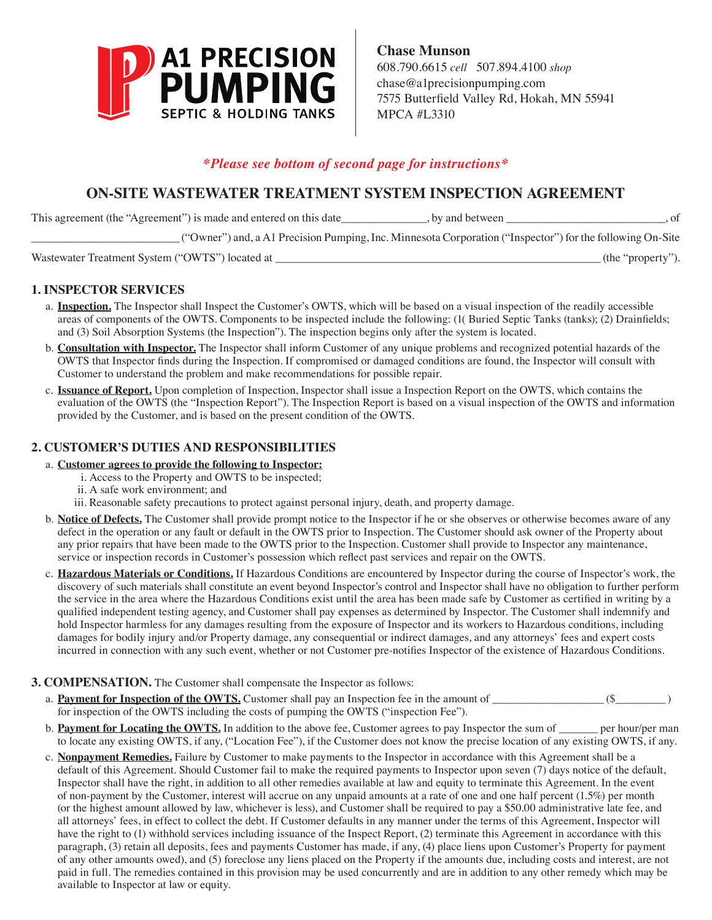

**Chase Munson** 608.790.6615 *cell* 507.894.4100 *shop* chase@a1precisionpumping.com 7575 Butterfield Valley Rd, Hokah, MN 55941 MPCA #L3310

## *\*Please see bottom of second page for instructions\**

# **ON-SITE WASTEWATER TREATMENT SYSTEM INSPECTION AGREEMENT**

This agreement (the "Agreement") is made and entered on this date \_\_\_\_\_\_\_\_\_\_\_\_, by and between \_\_\_\_\_\_\_\_\_\_\_\_\_\_,

\_\_\_\_\_\_\_\_\_\_\_\_\_\_\_\_\_\_\_\_\_\_\_\_\_\_ ("Owner") and, a A1 Precision Pumping, Inc. Minnesota Corporation ("Inspector") for the following On-Site

Wastewater Treatment System ("OWTS") located at \_\_\_\_\_\_\_\_\_\_\_\_\_\_\_\_\_\_\_\_\_\_\_\_\_\_\_\_\_\_\_\_\_\_\_\_\_\_\_\_\_\_\_\_\_\_\_\_\_\_\_\_\_\_\_\_\_ (the "property").

#### **1. INSPECTOR SERVICES**

- a. **Inspection.** The Inspector shall Inspect the Customer's OWTS, which will be based on a visual inspection of the readily accessible areas of components of the OWTS. Components to be inspected include the following: (1( Buried Septic Tanks (tanks); (2) Drainfields; and (3) Soil Absorption Systems (the Inspection"). The inspection begins only after the system is located.
- b. **Consultation with Inspector.** The Inspector shall inform Customer of any unique problems and recognized potential hazards of the OWTS that Inspector finds during the Inspection. If compromised or damaged conditions are found, the Inspector will consult with Customer to understand the problem and make recommendations for possible repair.
- c. **Issuance of Report.** Upon completion of Inspection, Inspector shall issue a Inspection Report on the OWTS, which contains the evaluation of the OWTS (the "Inspection Report"). The Inspection Report is based on a visual inspection of the OWTS and information provided by the Customer, and is based on the present condition of the OWTS.

## **2. CUSTOMER'S DUTIES AND RESPONSIBILITIES**

- a. **Customer agrees to provide the following to Inspector:**
	- i. Access to the Property and OWTS to be inspected;
	- ii. A safe work environment; and
	- iii. Reasonable safety precautions to protect against personal injury, death, and property damage.
- b. **Notice of Defects.** The Customer shall provide prompt notice to the Inspector if he or she observes or otherwise becomes aware of any defect in the operation or any fault or default in the OWTS prior to Inspection. The Customer should ask owner of the Property about any prior repairs that have been made to the OWTS prior to the Inspection. Customer shall provide to Inspector any maintenance, service or inspection records in Customer's possession which reflect past services and repair on the OWTS.
- c. **Hazardous Materials or Conditions.** If Hazardous Conditions are encountered by Inspector during the course of Inspector's work, the discovery of such materials shall constitute an event beyond Inspector's control and Inspector shall have no obligation to further perform the service in the area where the Hazardous Conditions exist until the area has been made safe by Customer as certified in writing by a qualified independent testing agency, and Customer shall pay expenses as determined by Inspector. The Customer shall indemnify and hold Inspector harmless for any damages resulting from the exposure of Inspector and its workers to Hazardous conditions, including damages for bodily injury and/or Property damage, any consequential or indirect damages, and any attorneys' fees and expert costs incurred in connection with any such event, whether or not Customer pre-notifies Inspector of the existence of Hazardous Conditions.

### **3. COMPENSATION.** The Customer shall compensate the Inspector as follows:

- a. **Payment for Inspection of the OWTS.** Customer shall pay an Inspection fee in the amount of \_\_\_\_\_\_\_\_\_\_\_\_\_\_\_\_\_\_ (\$\_\_\_\_\_\_\_\_\_\_\_\_\_\_) for inspection of the OWTS including the costs of pumping the OWTS ("inspection Fee").
- b. **Payment for Locating the OWTS.** In addition to the above fee, Customer agrees to pay Inspector the sum of \_\_\_\_\_\_\_ per hour/per man to locate any existing OWTS, if any, ("Location Fee"), if the Customer does not know the precise location of any existing OWTS, if any.
- c. **Nonpayment Remedies.** Failure by Customer to make payments to the Inspector in accordance with this Agreement shall be a default of this Agreement. Should Customer fail to make the required payments to Inspector upon seven (7) days notice of the default, Inspector shall have the right, in addition to all other remedies available at law and equity to terminate this Agreement. In the event of non-payment by the Customer, interest will accrue on any unpaid amounts at a rate of one and one half percent (1.5%) per month (or the highest amount allowed by law, whichever is less), and Customer shall be required to pay a \$50.00 administrative late fee, and all attorneys' fees, in effect to collect the debt. If Customer defaults in any manner under the terms of this Agreement, Inspector will have the right to (1) withhold services including issuance of the Inspect Report, (2) terminate this Agreement in accordance with this paragraph, (3) retain all deposits, fees and payments Customer has made, if any, (4) place liens upon Customer's Property for payment of any other amounts owed), and (5) foreclose any liens placed on the Property if the amounts due, including costs and interest, are not paid in full. The remedies contained in this provision may be used concurrently and are in addition to any other remedy which may be available to Inspector at law or equity.